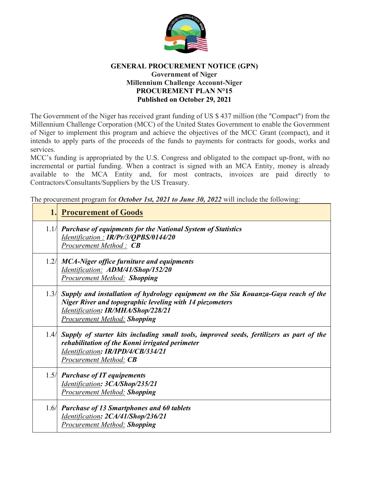

## **GENERAL PROCUREMENT NOTICE (GPN) Government of Niger Millennium Challenge Account-Niger PROCUREMENT PLAN N°15 Published on October 29, 2021**

The Government of the Niger has received grant funding of US \$ 437 million (the "Compact") from the Millennium Challenge Corporation (MCC) of the United States Government to enable the Government of Niger to implement this program and achieve the objectives of the MCC Grant (compact), and it intends to apply parts of the proceeds of the funds to payments for contracts for goods, works and services.

MCC's funding is appropriated by the U.S. Congress and obligated to the compact up-front, with no incremental or partial funding. When a contract is signed with an MCA Entity, money is already available to the MCA Entity and, for most contracts, invoices are paid directly to Contractors/Consultants/Suppliers by the US Treasury.

The procurement program for *October 1st, 2021 to June 30, 2022* will include the following:

|      | <b>1. Procurement of Goods</b>                                                                                                                                                                                                      |
|------|-------------------------------------------------------------------------------------------------------------------------------------------------------------------------------------------------------------------------------------|
| 1.1/ | <b>Purchase of equipments for the National System of Statistics</b><br>Identification: IR/Pr/3/QPBS/0144/20<br><b>Procurement Method: CB</b>                                                                                        |
| 1.2/ | <b>MCA-Niger office furniture and equipments</b><br>Identification: ADM/41/Shop/152/20<br>Procurement Method: Shopping                                                                                                              |
| 1.3/ | Supply and installation of hydrology equipment on the Sia Kouanza-Gaya reach of the<br><b>Niger River and topographic leveling with 14 piezometers</b><br>Identification: IR/MHA/Shop/228/21<br><b>Procurement Method: Shopping</b> |
| 1.4/ | Supply of starter kits including small tools, improved seeds, fertilizers as part of the<br>rehabilitation of the Konni irrigated perimeter<br>Identification: IR/IPD/4/CB/334/21<br><b>Procurement Method: CB</b>                  |
|      | 1.5/ Purchase of IT equipements<br>Identification: 3CA/Shop/235/21<br><b>Procurement Method: Shopping</b>                                                                                                                           |
| 1.6/ | <b>Purchase of 13 Smartphones and 60 tablets</b><br>Identification: 2CA/41/Shop/236/21<br><b>Procurement Method: Shopping</b>                                                                                                       |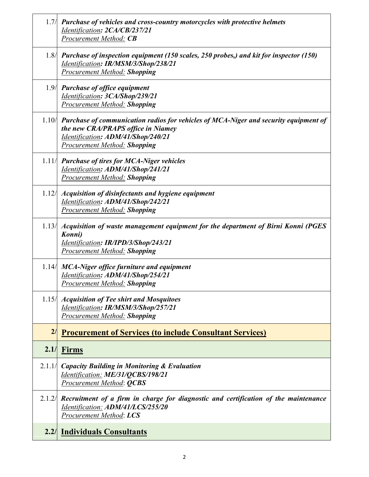|        | 1.7/ Purchase of vehicles and cross-country motorcycles with protective helmets<br>Identification: 2CA/CB/237/21<br>Procurement Method: CB                                                                     |
|--------|----------------------------------------------------------------------------------------------------------------------------------------------------------------------------------------------------------------|
|        | 1.8/ Purchase of inspection equipment (150 scales, 250 probes,) and kit for inspector (150)<br>Identification: IR/MSM/3/Shop/238/21<br><b>Procurement Method: Shopping</b>                                     |
|        | 1.9 Purchase of office equipment<br>Identification: 3CA/Shop/239/21<br><b>Procurement Method: Shopping</b>                                                                                                     |
|        | $1.10$ Purchase of communication radios for vehicles of MCA-Niger and security equipment of<br>the new CRA/PRAPS office in Niamey<br>Identification: ADM/41/Shop/240/21<br><b>Procurement Method: Shopping</b> |
|        | 1.11/ Purchase of tires for MCA-Niger vehicles<br>Identification: ADM/41/Shop/241/21<br><b>Procurement Method: Shopping</b>                                                                                    |
| 1.12/  | Acquisition of disinfectants and hygiene equipment<br>Identification: ADM/41/Shop/242/21<br>Procurement Method: Shopping                                                                                       |
| 1.13/  | Acquisition of waste management equipment for the department of Birni Konni (PGES<br>Konni)<br>Identification: IR/IPD/3/Shop/243/21<br><b>Procurement Method: Shopping</b>                                     |
| 1.14/  | <b>MCA-Niger office furniture and equipment</b><br>Identification: ADM/41/Shop/254/21<br><b>Procurement Method: Shopping</b>                                                                                   |
| 1.15/  | <b>Acquisition of Tee shirt and Mosquitoes</b><br>Identification: IR/MSM/3/Shop/257/21<br><b>Procurement Method: Shopping</b>                                                                                  |
| 2/     | <b>Procurement of Services (to include Consultant Services)</b>                                                                                                                                                |
| 2.1/   | Firms                                                                                                                                                                                                          |
| 2.1.1/ | <b>Capacity Building in Monitoring &amp; Evaluation</b><br>Identification: ME/31/QCBS/198/21<br><b>Procurement Method: QCBS</b>                                                                                |
| 2.1.2/ | Recruitment of a firm in charge for diagnostic and certification of the maintenance<br>Identification: ADM/41/LCS/255/20<br>Procurement Method: LCS                                                            |
|        | <b>2.2/ Individuals Consultants</b>                                                                                                                                                                            |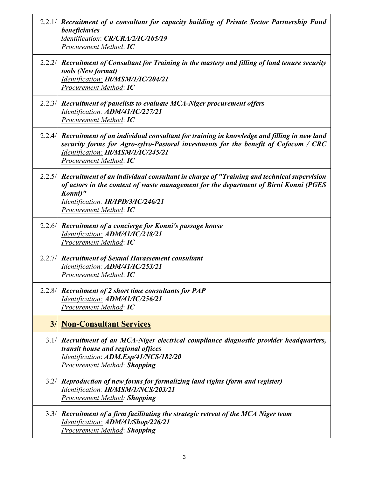| 2.2.1/ Recruitment of a consultant for capacity building of Private Sector Partnership Fund<br>beneficiaries<br>Identification: CR/CRA/2/IC/105/19<br>Procurement Method: IC                                                                                       |
|--------------------------------------------------------------------------------------------------------------------------------------------------------------------------------------------------------------------------------------------------------------------|
| 2.2.2/ Recruitment of Consultant for Training in the mastery and filling of land tenure security<br>tools (New format)<br>Identification: IR/MSM/1/IC/204/21<br><b>Procurement Method: IC</b>                                                                      |
| 2.2.3/ Recruitment of panelists to evaluate MCA-Niger procurement offers<br>Identification: ADM/41/IC/227/21<br>Procurement Method: IC                                                                                                                             |
| 2.2.4 Recruitment of an individual consultant for training in knowledge and filling in new land<br>security forms for Agro-sylvo-Pastoral investments for the benefit of Cofocom / CRC<br>Identification: IR/MSM/1/IC/245/21<br>Procurement Method: IC             |
| 2.2.5/ Recruitment of an individual consultant in charge of "Training and technical supervision<br>of actors in the context of waste management for the department of Birni Konni (PGES<br>Konni)"<br>Identification: IR/IPD/3/IC/246/21<br>Procurement Method: IC |
| 2.2.6 Recruitment of a concierge for Konni's passage house<br>Identification: ADM/41/IC/248/21<br>Procurement Method: IC                                                                                                                                           |
| 2.2.7/ Recruitment of Sexual Harassement consultant<br>Identification: ADM/41/IC/253/21<br>Procurement Method: IC                                                                                                                                                  |
| 2.2.8/ Recruitment of 2 short time consultants for PAP<br>Identification: ADM/41/IC/256/21<br>Procurement Method: IC                                                                                                                                               |
| <b>3/ Non-Consultant Services</b>                                                                                                                                                                                                                                  |
| 3.1/ Recruitment of an MCA-Niger electrical compliance diagnostic provider headquarters,<br>transit house and regional offices<br>Identification: ADM.Esp/41/NCS/182/20<br>Procurement Method: Shopping                                                            |
| 3.2/ Reproduction of new forms for formalizing land rights (form and register)<br>Identification: IR/MSM/1/NCS/203/21<br><b>Procurement Method: Shopping</b>                                                                                                       |
| 3.3/ Recruitment of a firm facilitating the strategic retreat of the MCA Niger team<br>Identification: ADM/41/Shop/226/21<br><b>Procurement Method: Shopping</b>                                                                                                   |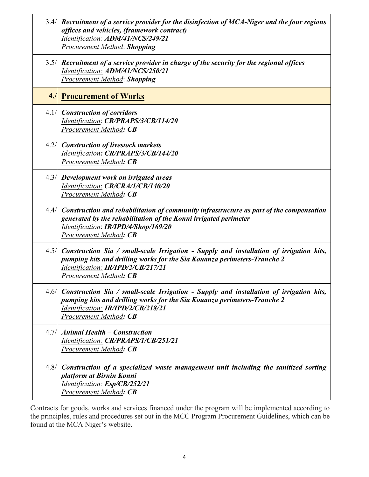|      | 3.4 $\parallel$ Recruitment of a service provider for the disinfection of MCA-Niger and the four regions<br>offices and vehicles, (framework contract)<br>Identification: ADM/41/NCS/249/21<br><b>Procurement Method: Shopping</b>              |
|------|-------------------------------------------------------------------------------------------------------------------------------------------------------------------------------------------------------------------------------------------------|
|      | 3.5/ Recruitment of a service provider in charge of the security for the regional offices<br>Identification: ADM/41/NCS/250/21<br><b>Procurement Method: Shopping</b>                                                                           |
|      | <b>4. Procurement of Works</b>                                                                                                                                                                                                                  |
|      | 4.1/ Construction of corridors<br>Identification: CR/PRAPS/3/CB/114/20<br><b>Procurement Method: CB</b>                                                                                                                                         |
| 4.2/ | <b>Construction of livestock markets</b><br>Identification: CR/PRAPS/3/CB/144/20<br><b>Procurement Method: CB</b>                                                                                                                               |
|      | 4.3/ Development work on irrigated areas<br>Identification: CR/CRA/1/CB/140/20<br><b>Procurement Method: CB</b>                                                                                                                                 |
| 4.4/ | Construction and rehabilitation of community infrastructure as part of the compensation<br>generated by the rehabilitation of the Konni irrigated perimeter<br>Identification: IR/IPD/4/Shop/169/20<br>Procurement Method: CB                   |
| 4.5/ | Construction Sia / small-scale Irrigation - Supply and installation of irrigation kits,<br>pumping kits and drilling works for the Sia Kouanza perimeters-Tranche 2<br>Identification: IR/IPD/2/CB/217/21<br>Procurement Method: CB             |
|      | 4.6/ Construction Sia / small-scale Irrigation - Supply and installation of irrigation kits,<br>pumping kits and drilling works for the Sia Kouanza perimeters-Tranche 2<br>Identification: IR/IPD/2/CB/218/21<br><b>Procurement Method: CB</b> |
|      | 4.7/ Animal Health - Construction<br>Identification: CR/PRAPS/1/CB/251/21<br><b>Procurement Method: CB</b>                                                                                                                                      |
|      | 4.8/ Construction of a specialized waste management unit including the sanitized sorting<br>platform at Birnin Konni<br>Identification: Esp/CB/252/21<br><b>Procurement Method: CB</b>                                                          |

Contracts for goods, works and services financed under the program will be implemented according to the principles, rules and procedures set out in the MCC Program Procurement Guidelines, which can be found at the MCA Niger's website.